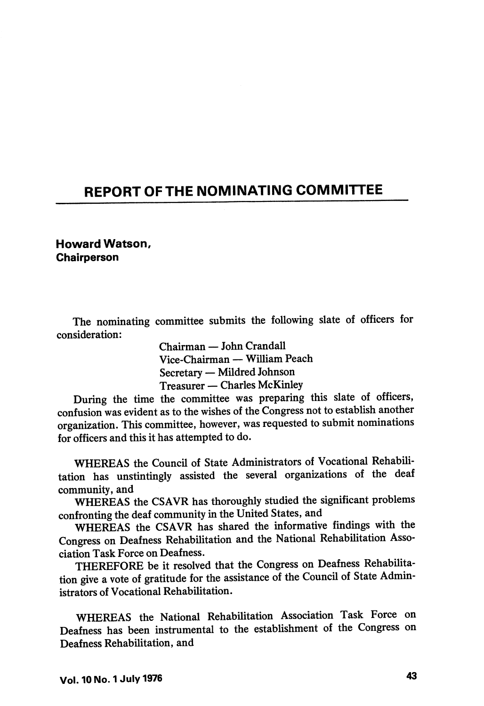## REPORT OF THE NOMINATING COMMITTEE

Howard Watson, **Chairperson** 

The nominating committee submits the following slate of officers for consideration:

> Chairman — John Crandall Vice-Chairman — William Peach Secretary — Mildred Johnson Treasurer — Charles McKinley

During the time the committee was preparing this slate of officers, confusion was evident as to the wishes of the Congress not to establish another organization. This committee, however, was requested to submit nominations for officers and this it has attempted to do.

WHEREAS the Council of State Administrators of Vocational Rehabili tation has unstintingly assisted the several organizations of the deaf community, and

WHEREAS the CSAVR has thoroughly studied the significant problems confronting the deaf community in the United States, and

WHEREAS the CSAVR has shared the informative findings with the Congress on Deafness Rehabilitation and the National Rehabilitation Asso ciation Task Force on Deafness.

THEREFORE be it resolved that the Congress on Deafness Rehabilita tion give a vote of gratitude for the assistance of the Council of State Admin istrators of Vocational Rehabilitation.

WHEREAS the National Rehabilitation Association Task Force on Deafness has been instrumental to the establishment of the Congress on Deafness Rehabilitation, and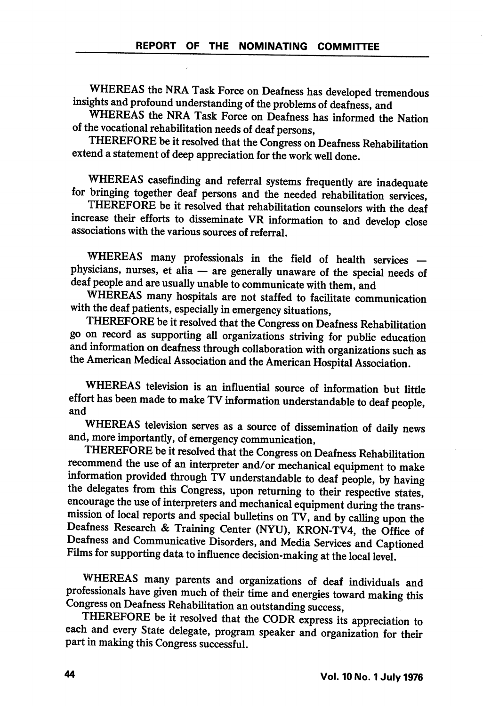WHEREAS the NRA Task Force on Deafness has developed tremendous insights and profound understanding of the problems of deafness, and

WHEREAS the NRA Task Force on Deafness has informed the Nation of the vocational rehabilitation needs of deaf persons,

THEREFORE be it resolved that the Congress on Deafness Rehabilitation extend a statement of deep appreciation for the work well done.

WHEREAS casefinding and referral systems frequently are inadequate for bringing together deaf persons and the needed rehabilitation services,

THEREFORE be it resolved that rehabilitation counselors with the deaf increase their efforts to disseminate VR information to and develop close associations with the various sources of referral.

WHEREAS many professionals in the field of health services physicians, nurses, et alia — are generally unaware of the special needs of deaf people and are usually unable to communicate with them, and

WHEREAS many hospitals are not staffed to facilitate communication with the deaf patients, especially in emergency situations,

THEREFORE be it resolved that the Congress on Deafness Rehabilitation go on record as supporting all organizations striving for public education and information on deafness through collaboration with organizations such as the American Medical Association and the American Hospital Association.

WHEREAS television is an influential source of information but little effort has been made to make TV information understandable to deaf people, and

WHEREAS television serves as a source of dissemination of daily news and, more importantly, of emergency communication,

THEREFORE be it resolved that the Congress on Deafness Rehabilitation recommend the use of an interpreter and/or mechanical equipment to make information provided through TV understandable to deaf people, by having the delegates from this Congress, upon returning to their respective states, encourage the use of interpreters and mechanical equipment during the trans mission of local reports and special bulletins on TV, and by calling upon the Deafness Research & Training Center (NYU), KRON-TV4, the Office of Deafness and Communicative Disorders, and Media Services and Captioned Films for supporting data to influence decision-making at the local level.

WHEREAS many parents and organizations of deaf individuals and professionals have given much of their time and energies toward making this Congress on Deafness Rehabilitation an outstanding success,

THEREFORE be it resolved that the CODR express its appreciation to each and every State delegate, program speaker and organization for their part in making this Congress successful.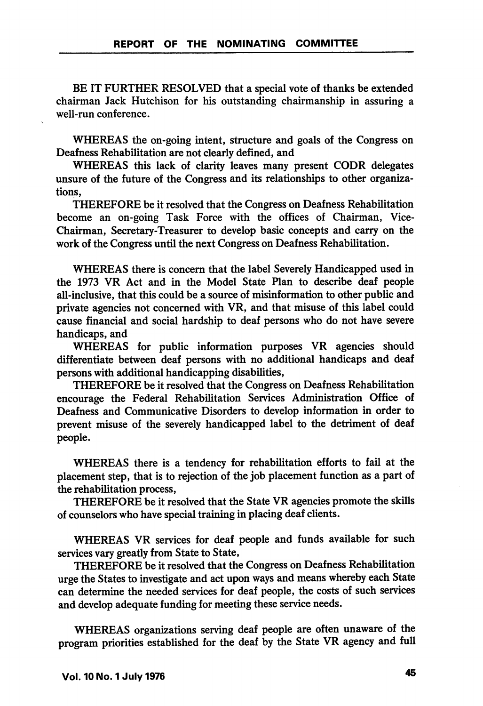BE IT FURTHER RESOLVED that a special vote of thanks be extended chairman Jack Hutchison for his outstanding chairmanship in assuring a well-run conference.

WHEREAS the on-going intent, structure and goals of the Congress on Deafness Rehabilitation are not clearly defined, and

WHEREAS this lack of clarity leaves many present CODR delegates unsure of the future of the Congress and its relationships to other organiza tions,

THEREFORE be it resolved that the Congress on Deafness Rehabilitation become an on-going Task Force with the offices of Chairman, Vice-Chairman, Secretary-Treasurer to develop basic concepts and cany on the work of the Congress until the next Congress on Deafness Rehabilitation.

WHEREAS there is concern that the label Severely Handicapped used in the 1973 VR Act and in the Model State Plan to describe deaf people all-inclusive, that this could be a source of misinformation to other public and private agencies not concerned with VR, and that misuse of this label could cause financial and social hardship to deaf persons who do not have severe handicaps, and

WHEREAS for public information purposes VR agencies should differentiate between deaf persons with no additional handicaps and deaf persons with additional handicapping disabilities,

THEREFORE be it resolved that the Congress on Deafness Rehabilitation encourage the Federal Rehabilitation Services Administration Office of Deafness and Communicative Disorders to develop information in order to prevent misuse of the severely handicapped label to the detriment of deaf people.

WHEREAS there is a tendency for rehabilitation efforts to fail at the placement step, that is to rejection of the job placement function as a part of the rehabilitation process,

THEREFORE be it resolved that the State VR agencies promote the skills of counselors who have special training in placing deaf clients.

WHEREAS VR services for deaf people and funds available for such services vary greatly from State to State,

THEREFORE be it resolved that the Congress on Deafness Rehabilitation urge the States to investigate and act upon ways and means whereby each State can determine the needed services for deaf people, the costs of such services and develop adequate funding for meeting these service needs.

WHEREAS organizations serving deaf people are often unaware of the program priorities established for the deaf by the State VR agency and full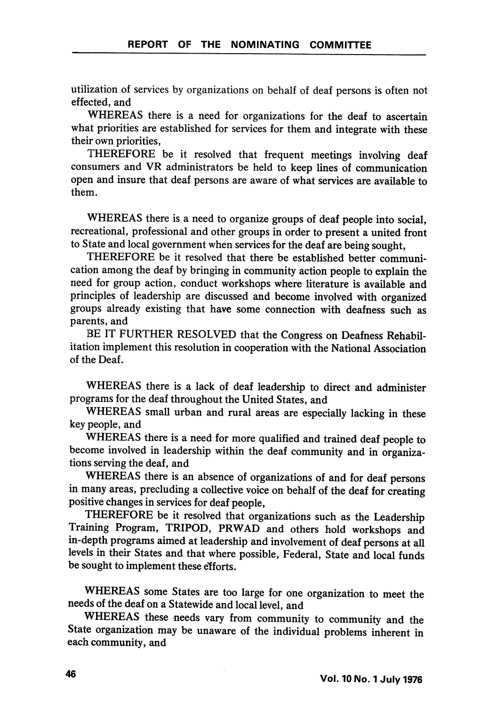utilization of services by organizations on behalf of deaf persons is often not effected, and

WHEREAS there is a need for organizations for the deaf to ascertain what priorities are established for services for them and integrate with these their own priorities,

THEREFORE be it resolved that frequent meetings involving deaf consumers and VR administrators be held to keep lines of communication open and insure that deaf persons are aware of what services are available to them.

WHEREAS there is a need to organize groups of deaf people into social, recreational, professional and other groups in order to present a united front to State and local government when services for the deaf are being sought,

THEREFORE be it resolved that there be established better communi cation among the deaf by bringing in community action people to explain the need for group action, conduct workshops where literature is available and principles of leadership are discussed and become involved with organized groups already existing that have some connection with deafness such as parents, and

BE IT FURTHER RESOLVED that the Congress on Deafness Rehabil itation implement this resolution in cooperation with the National Association of the Deaf.

WHEREAS there is a lack of deaf leadership to direct and administer programs for the deaf throughout the United States, and

WHEREAS small urban and rural areas are especially lacking in these key people, and

WHEREAS there is a need for more qualified and trained deaf people to become involved in leadership within the deaf community and in organiza tions serving the deaf, and

WHEREAS there is an absence of organizations of and for deaf persons in many areas, precluding a collective voice on behalf of the deaf for creating positive changes in services for deaf people,

THEREFORE be it resolved that organizations such as the Leadership Training Program, TRIPOD, PRWAD and others hold workshops and in-depth programs aimed at leadership and involvement of deaf persons at all levels in their States and that where possible. Federal, State and local funds be sought to implement these efforts.

WHEREAS some States are too large for one organization to meet the needs of the deaf on a Statewide and local level, and

WHEREAS these needs vary from community to community and the State organization may be unaware of the individual problems inherent in each community, and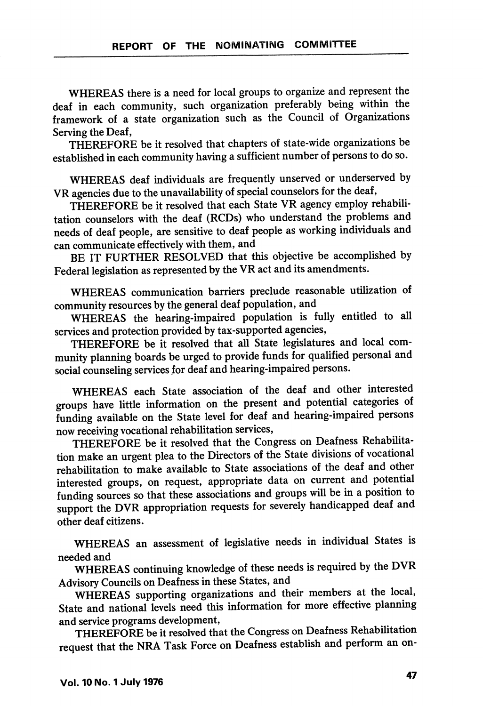WHEREAS there is a need for local groups to organize and represent the deaf in each community, such organization preferably being within the framework of a state organization such as the Council of Organizations Serving the Deaf,

THEREFORE be it resolved that chapters of state-wide organizations be established in each community having a sufficient number of persons to do so.

WHEREAS deaf individuals are frequently unserved or underserved by VR agencies due to the unavailability of special counselors for the deaf,

THEREFORE be it resolved that each State VR agency employ rehabili tation counselors with the deaf (RCDs) who understand the problems and needs of deaf people, are sensitive to deaf people as working individuals and can communicate effectively with them, and

BE IT FURTHER RESOLVED that this objective be accomplished by Federal legislation as represented by the VR act and its amendments.

WHEREAS communication barriers preclude reasonable utilization of community resources by the general deaf population, and

WHEREAS the hearing-impaired population is fully entitled to all services and protection provided by tax-supported agencies,

THEREFORE be it resolved that all State legislatures and local com munity planning boards be urged to provide funds for qualified personal and social counseling services for deaf and hearing-impaired persons.

WHEREAS each State association of the deaf and other interested groups have little information on the present and potential categories of funding available on the State level for deaf and hearing-impaired persons now receiving vocational rehabilitation services,

THEREFORE be it resolved that the Congress on Deafness Rehabilita tion make an urgent plea to the Directors of the State divisions of vocational rehabilitation to make available to State associations of the deaf and other interested groups, on request, appropriate data on current and potential funding sources so that these associations and groups will be in a position to support the DVR appropriation requests for severely handicapped deaf and other deaf citizens.

WHEREAS an assessment of legislative needs in individual States is needed and

WHEREAS continuing knowledge of these needs is required by the DVR Advisory Councils on Deafness in these States, and

WHEREAS supporting organizations and their members at the local. State and national levels need this information for more effective planning and service programs development,

THEREFORE be it resolved that the Congress on Deafness Rehabilitation request that the NRA Task Force on Deafness establish and perform an on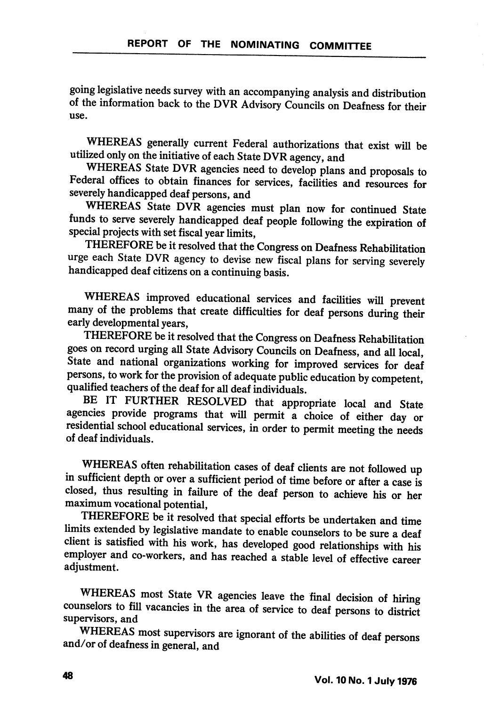going legislative needs survey with an accompanying analysis and distribution of the information back to the DVR Advisory Councils on Deafness for their use.

WHEREAS generally current Federal authorizations that exist will be utilized only on the initiative of each State DVR agency, and

WHEREAS State DVR agencies need to develop plans and proposals to Federal offices to obtain finances for services, facilities and resources for severely handicapped deaf persons, and

WHEREAS State DVR agencies must plan now for continued State funds to serve severely handicapped deaf people following the expiration of special projects with set fiscal year limits,

THEREFORE be it resolved that the Congress on Deafness Rehabilitation urge each State DVR agency to devise new fiscal plans for serving severely handicapped deaf citizens on a continuing basis.

WHEREAS improved educational services and facilities will prevent many of the problems that create difficulties for deaf persons during their early developmental years,

THEREFORE be it resolved that the Congress on Deafness Rehabilitation goes on record urging all State Advisory Councils on Deafness, and all local, State and national organizations working for improved services for deaf persons, to work for the provision of adequate public education by competent, qualified teachers of the deaf for all deaf individuals.

BE IT FURTHER RESOLVED that appropriate local and State agencies provide programs that will permit a choice of either day or residential school educational services, in order to permit meeting the needs of deaf individuals.

WHEREAS often rehabilitation cases of deaf clients are not followed up in sufficient depth or over a sufficient period of time before or after a case is closed, thus resulting in failure of the deaf person to achieve his or her maximum vocational potential,

THEREFORE be it resolved that special efforts be undertaken and time limits extended by legislative mandate to enable counselors to be sure a deaf client is satisfied with his work, has developed good relationships with his employer and co-workers, and has reached a stable level of effective career adjustment.

WHEREAS most State VR agencies leave the final decision of hiring counselors to fill vacancies in the area of service to deaf persons to district supervisors, and

WHEREAS most supervisors are ignorant of the abilities of deaf persons and/or of deafness in general, and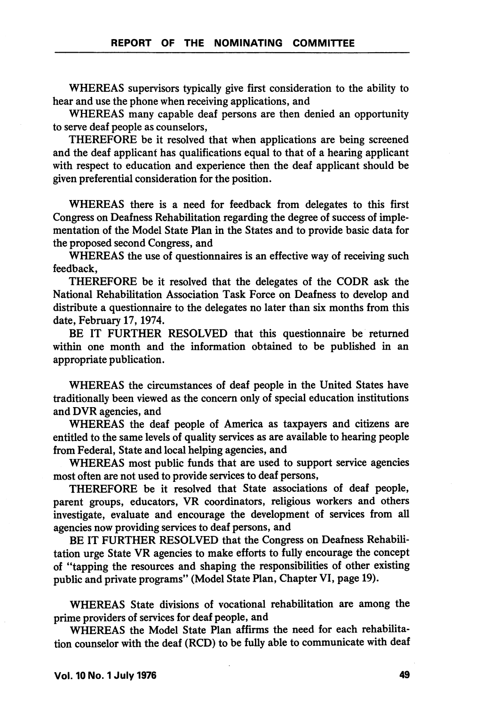WHEREAS supervisors typically give first consideration to the ability to hear and use the phone when receiving applications, and

WHEREAS many capable deaf persons are then denied an opportunity to serve deaf people as counselors,

THEREFORE be it resolved that when applications are being screened and the deaf applicant has qualifications equal to that of a hearing applicant with respect to education and experience then the deaf applicant should be given preferential consideration for the position.

WHEREAS there is a need for feedback from delegates to this first Congress on Deafness Rehabilitation regarding the degree of success of imple mentation of the Model State Plan in the States and to provide basic data for the proposed second Congress, and

WHEREAS the use of questionnaires is an effective way of receiving such feedback,

THEREFORE be it resolved that the delegates of the CODR ask the National Rehabilitation Association Task Force on Deafness to develop and distribute a questionnaire to the delegates no later than six months from this date, February 17,1974.

BE IT FURTHER RESOLVED that this questionnaire be returned within one month and the information obtained to be published in an appropriate publication.

WHEREAS the circumstances of deaf people in the United States have traditionally been viewed as the concern only of special education institutions and DVR agencies, and

WHEREAS the deaf people of America as taxpayers and citizens are entitled to the same levels of quality services as are available to hearing people from Federal, State and local helping agencies, and

WHEREAS most public funds that are used to support service agencies most often are not used to provide services to deaf persons,

THEREFORE be it resolved that State associations of deaf people, parent groups, educators, VR coordinators, religious workers and others investigate, evaluate and encourage the development of services from all agencies now providing services to deaf persons, and

BE IT FURTHER RESOLVED that the Congress on Deafness Rehabili tation urge State VR agencies to make efforts to fully encourage the concept of "tapping the resources and shaping the responsibilities of other existing public and private programs" (Model State Plan, Chapter VI, page 19).

WHEREAS State divisions of vocational rehabilitation are among the prime providers of services for deaf people, and

WHEREAS the Model State Plan affirms the need for each rehabilita tion counselor with the deaf (RCD) to be fully able to communicate with deaf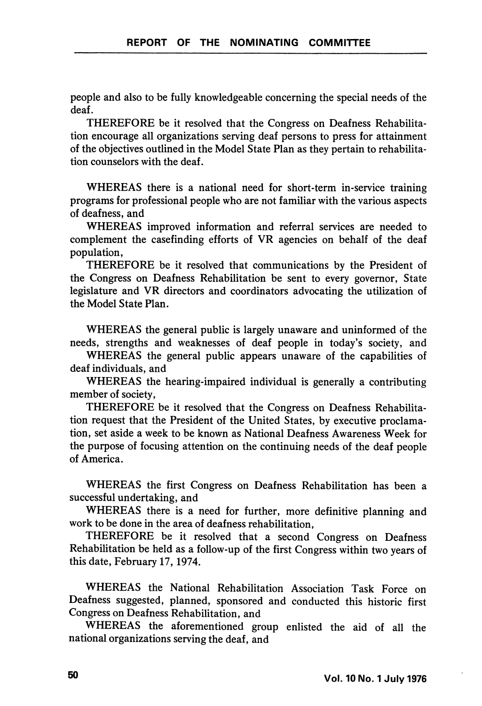people and also to be fully knowledgeable concerning the special needs of the deaf.

THEREFORE be it resolved that the Congress on Deafness Rehabilita tion encourage all organizations serving deaf persons to press for attainment of the objectives outlined in the Model State Plan as they pertain to rehabilita tion counselors with the deaf.

WHEREAS there is a national need for short-term in-service training programs for professional people who are not familiar with the various aspects of deafness, and

WHEREAS improved information and referral services are needed to complement the casefinding efforts of VR agencies on behalf of the deaf population,

THEREFORE be it resolved that communications by the President of the Congress on Deafness Rehabilitation be sent to every governor. State legislature and VR directors and coordinators advocating the utilization of the Model State Plan.

WHEREAS the general public is largely unaware and uninformed of the needs, strengths and weaknesses of deaf people in today's society, and

WHEREAS the general public appears unaware of the capabilities of deaf individuals, and

WHEREAS the hearing-impaired individual is generally a contributing member of society,

THEREFORE be it resolved that the Congress on Deafness Rehabilita tion request that the President of the United States, by executive proclama tion, set aside a week to be known as National Deafness Awareness Week for the purpose of focusing attention on the continuing needs of the deaf people of America.

WHEREAS the first Congress on Deafness Rehabilitation has been a successful undertaking, and

WHEREAS there is a need for further, more definitive planning and work to be done in the area of deafness rehabilitation,

THEREFORE be it resolved that a second Congress on Deafness Rehabilitation be held as a follow-up of the first Congress within two years of this date, February 17,1974.

WHEREAS the National Rehabilitation Association Task Force on Deafness suggested, planned, sponsored and conducted this historic first Congress on Deafness Rehabilitation, and

WHEREAS the aforementioned group enlisted the aid of all the national organizations serving the deaf, and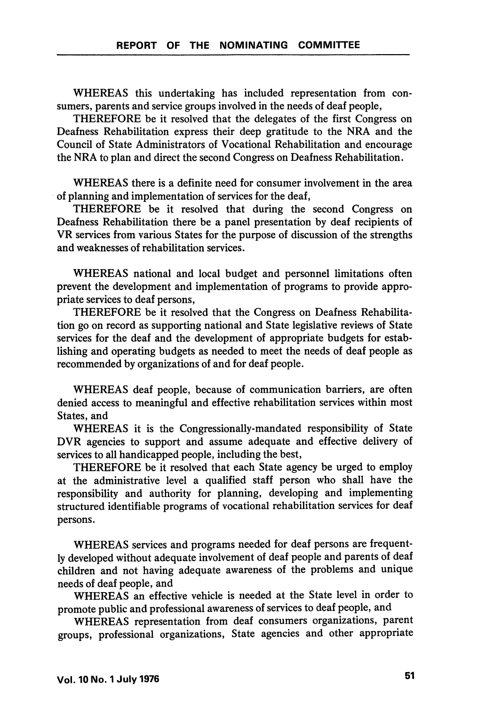WHEREAS this undertaking has included representation from con sumers, parents and service groups involved in the needs of deaf people,

THEREFORE be it resolved that the delegates of the first Congress on Deafness Rehabilitation express their deep gratitude to the NRA and the Council of State Administrators of Vocational Rehabilitation and encourage the NRA to plan and direct the second Congress on Deafness Rehabilitation.

WHEREAS there is a definite need for consumer involvement in the area of planning and implementation of services for the deaf,

THEREFORE be it resolved that during the second Congress on Deafness Rehabilitation there be a panel presentation by deaf recipients of VR services from various States for the purpose of discussion of the strengths and weaknesses of rehabilitation services.

WHEREAS national and local budget and personnel limitations often prevent the development and implementation of programs to provide appro priate services to deaf persons,

THEREFORE be it resolved that the Congress on Deafness Rehabilita tion go on record as supporting national and State legislative reviews of State services for the deaf and the development of appropriate budgets for establishing and operating budgets as needed to meet the needs of deaf people as recommended by organizations of and for deaf people.

WHEREAS deaf people, because of communication barriers, are often denied access to meaningful and effective rehabilitation services within most States, and

WHEREAS it is the Congressionally-mandated responsibility of State DVR agencies to support and assume adequate and effective delivery of services to all handicapped people, including the best,

THEREFORE be it resolved that each State agency be urged to employ at the administrative level a qualified staff person who shall have the responsibility and authority for planning, developing and implementing structured identifiable programs of vocational rehabilitation services for deaf persons.

WHEREAS services and programs needed for deaf persons are frequent ly developed without adequate involvement of deaf people and parents of deaf children and not having adequate awareness of the problems and unique needs of deaf people, and

WHEREAS an effective vehicle is needed at the State level in order to promote public and professional awareness of services to deaf people, and

WHEREAS representation from deaf consumers organizations, parent groups, professional organizations. State agencies and other appropriate